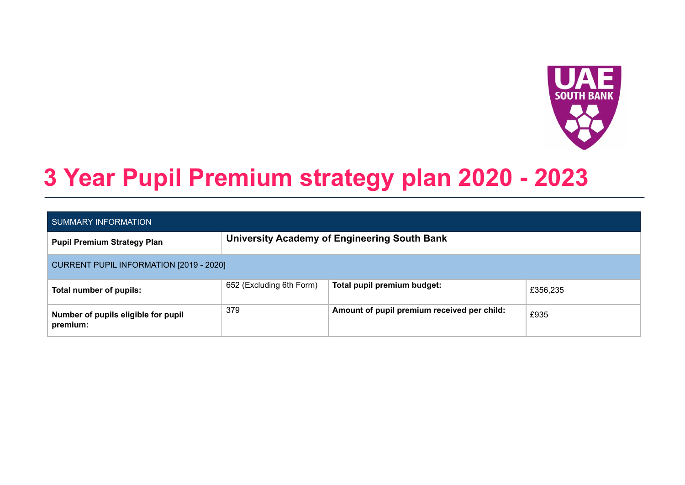

# **3 Year Pupil Premium strategy plan 2020 - 2023**

| SUMMARY INFORMATION                             |                                              |                                             |          |  |  |  |  |  |
|-------------------------------------------------|----------------------------------------------|---------------------------------------------|----------|--|--|--|--|--|
| <b>Pupil Premium Strategy Plan</b>              | University Academy of Engineering South Bank |                                             |          |  |  |  |  |  |
| CURRENT PUPIL INFORMATION [2019 - 2020]         |                                              |                                             |          |  |  |  |  |  |
| Total number of pupils:                         | 652 (Excluding 6th Form)                     | Total pupil premium budget:                 | £356,235 |  |  |  |  |  |
| Number of pupils eligible for pupil<br>premium: | 379                                          | Amount of pupil premium received per child: | £935     |  |  |  |  |  |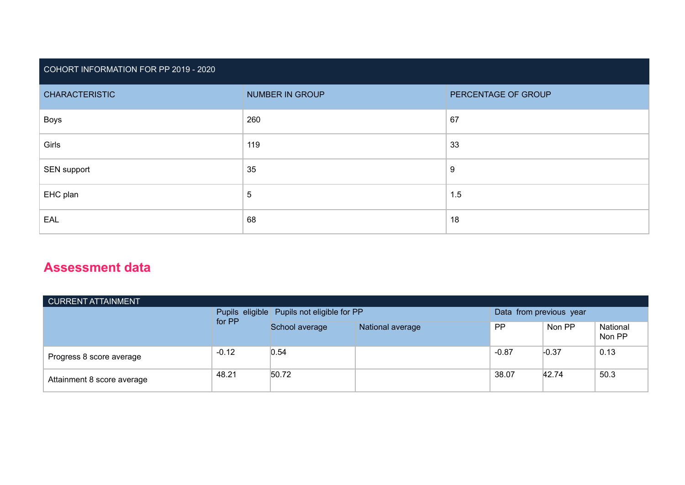# COHORT INFORMATION FOR PP 2019 - 2020

| <b>CHARACTERISTIC</b> | NUMBER IN GROUP | PERCENTAGE OF GROUP |
|-----------------------|-----------------|---------------------|
| <b>Boys</b>           | 260             | 67                  |
|                       |                 |                     |
| Girls                 | 119             | 33                  |
| SEN support           | 35              | 9                   |
| EHC plan              | $\overline{5}$  | 1.5                 |
| EAL                   | 68              | 18                  |

# **Assessment data**

| CURRENT ATTAINMENT         |         |                                              |                  |                         |         |                    |  |  |  |
|----------------------------|---------|----------------------------------------------|------------------|-------------------------|---------|--------------------|--|--|--|
|                            | for PP  | Pupils eligible   Pupils not eligible for PP |                  | Data from previous year |         |                    |  |  |  |
|                            |         | School average                               | National average | <b>PP</b>               | Non PP  | National<br>Non PP |  |  |  |
| Progress 8 score average   | $-0.12$ | 0.54                                         |                  | $-0.87$                 | $-0.37$ | 0.13               |  |  |  |
| Attainment 8 score average | 48.21   | 50.72                                        |                  | 38.07                   | 42.74   | 50.3               |  |  |  |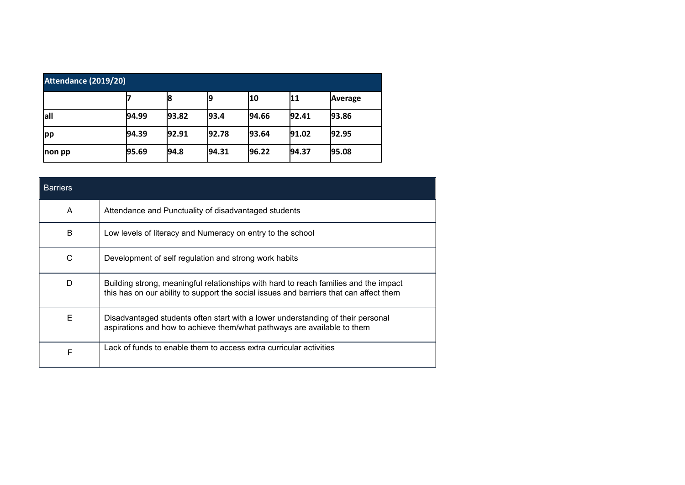| Attendance (2019/20) |       |       |       |                 |       |         |  |  |
|----------------------|-------|-------|-------|-----------------|-------|---------|--|--|
|                      |       | 18    |       | 10              | 11    | Average |  |  |
| lall                 | 94.99 | 93.82 | 93.4  | 94.66           | 92.41 | 93.86   |  |  |
| pp                   | 94.39 | 92.91 | 92.78 | 193.64          | 91.02 | 92.95   |  |  |
| <b>non pp</b>        | 95.69 | 194.8 | 94.31 | $ 96.22\rangle$ | 94.37 | 95.08   |  |  |

| <b>Barriers</b> |                                                                                                                                                                                |
|-----------------|--------------------------------------------------------------------------------------------------------------------------------------------------------------------------------|
| A               | Attendance and Punctuality of disadvantaged students                                                                                                                           |
| B               | Low levels of literacy and Numeracy on entry to the school                                                                                                                     |
| C               | Development of self regulation and strong work habits                                                                                                                          |
| D               | Building strong, meaningful relationships with hard to reach families and the impact<br>this has on our ability to support the social issues and barriers that can affect them |
| E               | Disadvantaged students often start with a lower understanding of their personal<br>aspirations and how to achieve them/what pathways are available to them                     |
| F               | Lack of funds to enable them to access extra curricular activities                                                                                                             |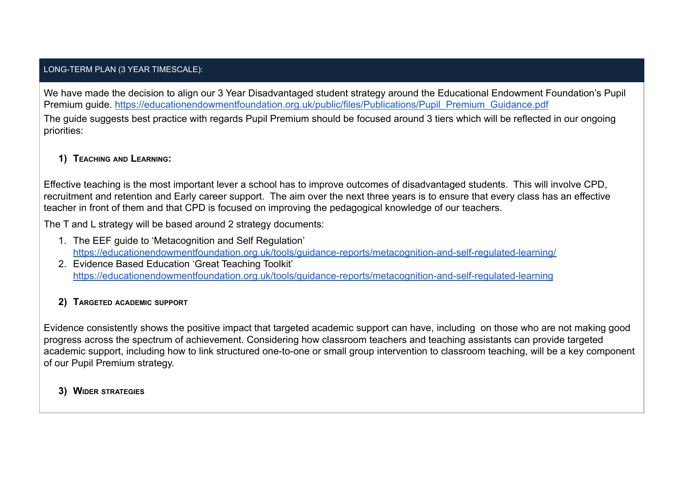#### LONG-TERM PLAN (3 YEAR TIMESCALE):

We have made the decision to align our 3 Year Disadvantaged student strategy around the Educational Endowment Foundation's Pupil Premium guide. [https://educationendowmentfoundation.org.uk/public/files/Publications/Pupil\\_Premium\\_Guidance.pdf](https://educationendowmentfoundation.org.uk/public/files/Publications/Pupil_Premium_Guidance.pdf)

The guide suggests best practice with regards Pupil Premium should be focused around 3 tiers which will be reflected in our ongoing priorities:

## **1) TEACHING AND LEARNING:**

Effective teaching is the most important lever a school has to improve outcomes of disadvantaged students. This will involve CPD, recruitment and retention and Early career support. The aim over the next three years is to ensure that every class has an effective teacher in front of them and that CPD is focused on improving the pedagogical knowledge of our teachers.

The T and L strategy will be based around 2 strategy documents:

- 1. The EEF guide to 'Metacognition and Self Regulation' <https://educationendowmentfoundation.org.uk/tools/guidance-reports/metacognition-and-self-regulated-learning/>
- 2. Evidence Based Education 'Great Teaching Toolkit' [https://educationendowmentfoundation.org.uk/tools/guidance-reports/metacognition-and-self-regulated-learning](https://educationendowmentfoundation.org.uk/tools/guidance-reports/metacognition-and-self-regulated-learning/)

# **2) TARGETED ACADEMIC SUPPORT**

Evidence consistently shows the positive impact that targeted academic support can have, including on those who are not making good progress across the spectrum of achievement. Considering how classroom teachers and teaching assistants can provide targeted academic support, including how to link structured one-to-one or small group intervention to classroom teaching, will be a key component of our Pupil Premium strategy.

**3) WIDER STRATEGIES**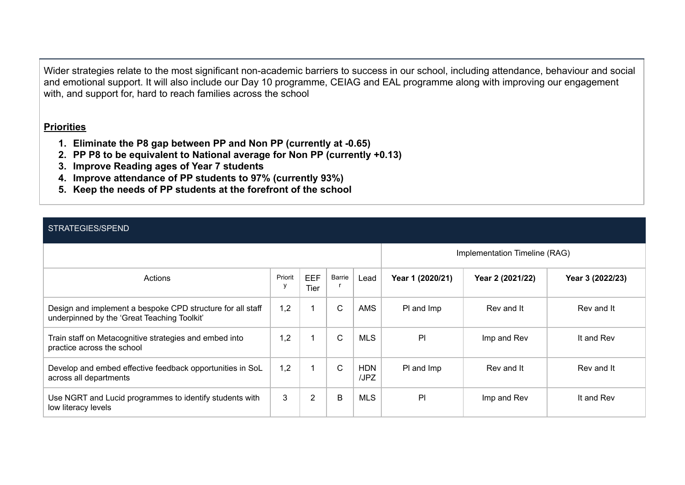Wider strategies relate to the most significant non-academic barriers to success in our school, including attendance, behaviour and social and emotional support. It will also include our Day 10 programme, CEIAG and EAL programme along with improving our engagement with, and support for, hard to reach families across the school

### **Priorities**

- **1. Eliminate the P8 gap between PP and Non PP (currently at -0.65)**
- **2. PP P8 to be equivalent to National average for Non PP (currently +0.13)**
- **3. Improve Reading ages of Year 7 students**
- **4. Improve attendance of PP students to 97% (currently 93%)**
- **5. Keep the needs of PP students at the forefront of the school**

### STRATEGIES/SPEND

|                                                                                                           | Implementation Timeline (RAG) |                           |        |                    |                  |                  |                  |
|-----------------------------------------------------------------------------------------------------------|-------------------------------|---------------------------|--------|--------------------|------------------|------------------|------------------|
| Actions                                                                                                   | Priorit                       | <b>EEF</b><br><b>Tier</b> | Barrie | Lead               | Year 1 (2020/21) | Year 2 (2021/22) | Year 3 (2022/23) |
| Design and implement a bespoke CPD structure for all staff<br>underpinned by the 'Great Teaching Toolkit' | 1,2                           |                           | C.     | <b>AMS</b>         | PI and Imp       | Rev and It       | Rev and It       |
| Train staff on Metacognitive strategies and embed into<br>practice across the school                      | 1,2                           |                           | C      | <b>MLS</b>         | P                | Imp and Rev      | It and Rev       |
| Develop and embed effective feedback opportunities in SoL<br>across all departments                       | 1,2                           |                           | C      | <b>HDN</b><br>/JPZ | PI and Imp       | Rev and It       | Rev and It       |
| Use NGRT and Lucid programmes to identify students with<br>low literacy levels                            | 3                             | 2                         | B      | <b>MLS</b>         | P                | Imp and Rev      | It and Rev       |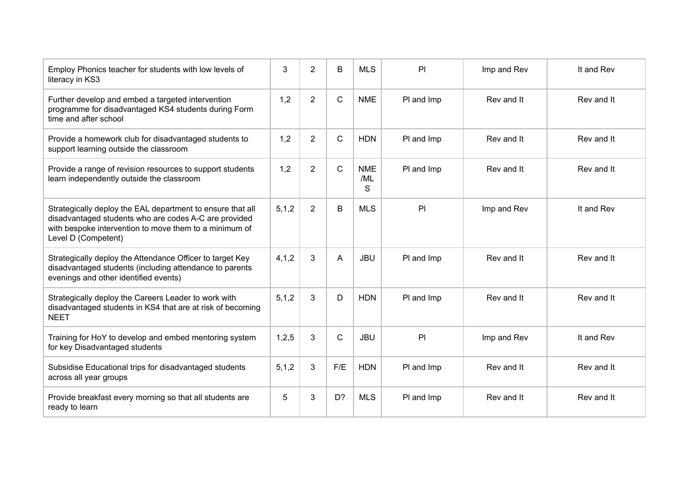| Employ Phonics teacher for students with low levels of<br>literacy in KS3                                                                                                                            | 3       | $\overline{2}$ | B            | <b>MLS</b>             | PI         | Imp and Rev | It and Rev |
|------------------------------------------------------------------------------------------------------------------------------------------------------------------------------------------------------|---------|----------------|--------------|------------------------|------------|-------------|------------|
| Further develop and embed a targeted intervention<br>programme for disadvantaged KS4 students during Form<br>time and after school                                                                   | 1,2     | $\overline{2}$ | $\mathsf{C}$ | <b>NME</b>             | PI and Imp | Rev and It  | Rev and It |
| Provide a homework club for disadvantaged students to<br>support learning outside the classroom                                                                                                      | 1,2     | $\overline{2}$ | C            | <b>HDN</b>             | PI and Imp | Rev and It  | Rev and It |
| Provide a range of revision resources to support students<br>learn independently outside the classroom                                                                                               | 1,2     | $\overline{2}$ | $\mathsf{C}$ | <b>NME</b><br>/ML<br>S | PI and Imp | Rev and It  | Rev and It |
| Strategically deploy the EAL department to ensure that all<br>disadvantaged students who are codes A-C are provided<br>with bespoke intervention to move them to a minimum of<br>Level D (Competent) | 5, 1, 2 | $\overline{2}$ | B            | <b>MLS</b>             | PI         | Imp and Rev | It and Rev |
| Strategically deploy the Attendance Officer to target Key<br>disadvantaged students (including attendance to parents<br>evenings and other identified events)                                        | 4, 1, 2 | 3              | A            | <b>JBU</b>             | PI and Imp | Rev and It  | Rev and It |
| Strategically deploy the Careers Leader to work with<br>disadvantaged students in KS4 that are at risk of becoming<br><b>NEET</b>                                                                    | 5, 1, 2 | 3              | D            | <b>HDN</b>             | PI and Imp | Rev and It  | Rev and It |
| Training for HoY to develop and embed mentoring system<br>for key Disadvantaged students                                                                                                             | 1,2,5   | 3              | $\mathsf{C}$ | <b>JBU</b>             | PI         | Imp and Rev | It and Rev |
| Subsidise Educational trips for disadvantaged students<br>across all year groups                                                                                                                     | 5, 1, 2 | 3              | F/E          | <b>HDN</b>             | PI and Imp | Rev and It  | Rev and It |
| Provide breakfast every morning so that all students are<br>ready to learn                                                                                                                           | 5       | 3              | D?           | <b>MLS</b>             | PI and Imp | Rev and It  | Rev and It |